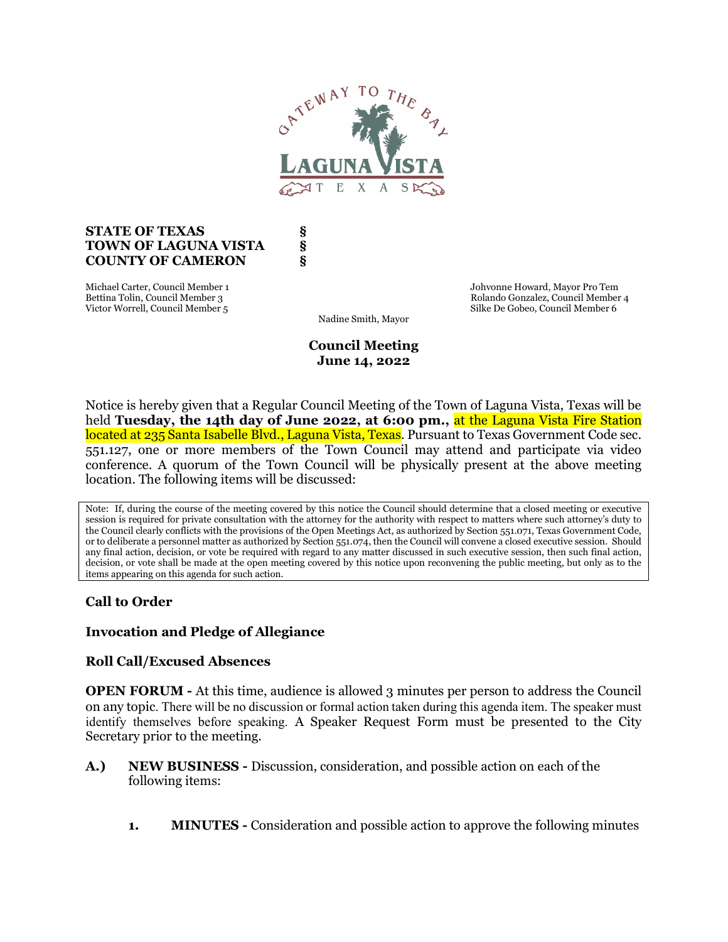

#### STATE OF TEXAS \$ TOWN OF LAGUNA VISTA § COUNTY OF CAMERON §

Michael Carter, Council Member 1 Johvonne Howard, Mayor Pro Tem Victor Worrell, Council Member 5

Bettina Tolin, Council Member 3 Rolando Gonzalez, Council Member 4 Rolando Gonzalez, Council Member 4 Rolando Gonzalez, Council Member 4 Rolando Gonzalez, Council Member 5

Nadine Smith, Mayor

Council Meeting June 14, 2022

Notice is hereby given that a Regular Council Meeting of the Town of Laguna Vista, Texas will be held Tuesday, the 14th day of June 2022, at 6:00 pm., at the Laguna Vista Fire Station located at 235 Santa Isabelle Blvd., Laguna Vista, Texas. Pursuant to Texas Government Code sec. 551.127, one or more members of the Town Council may attend and participate via video conference. A quorum of the Town Council will be physically present at the above meeting location. The following items will be discussed:

Note: If, during the course of the meeting covered by this notice the Council should determine that a closed meeting or executive session is required for private consultation with the attorney for the authority with respect to matters where such attorney's duty to the Council clearly conflicts with the provisions of the Open Meetings Act, as authorized by Section 551.071, Texas Government Code, or to deliberate a personnel matter as authorized by Section 551.074, then the Council will convene a closed executive session. Should any final action, decision, or vote be required with regard to any matter discussed in such executive session, then such final action, decision, or vote shall be made at the open meeting covered by this notice upon reconvening the public meeting, but only as to the items appearing on this agenda for such action.

# Call to Order

## Invocation and Pledge of Allegiance

### Roll Call/Excused Absences

OPEN FORUM - At this time, audience is allowed 3 minutes per person to address the Council on any topic. There will be no discussion or formal action taken during this agenda item. The speaker must identify themselves before speaking. A Speaker Request Form must be presented to the City Secretary prior to the meeting.

- A.) NEW BUSINESS Discussion, consideration, and possible action on each of the following items:
	- 1. MINUTES Consideration and possible action to approve the following minutes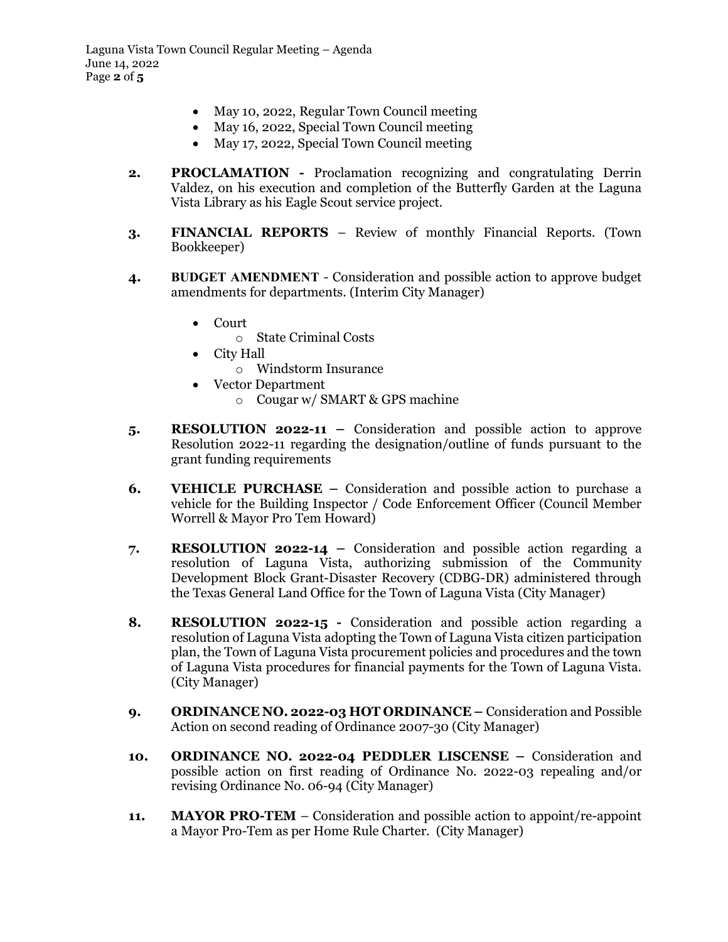- May 10, 2022, Regular Town Council meeting
- May 16, 2022, Special Town Council meeting
- May 17, 2022, Special Town Council meeting
- 2. PROCLAMATION Proclamation recognizing and congratulating Derrin Valdez, on his execution and completion of the Butterfly Garden at the Laguna Vista Library as his Eagle Scout service project.
- 3. FINANCIAL REPORTS Review of monthly Financial Reports. (Town Bookkeeper)
- 4. BUDGET AMENDMENT Consideration and possible action to approve budget amendments for departments. (Interim City Manager)
	- Court
		- o State Criminal Costs
	- City Hall
		- o Windstorm Insurance
	- Vector Department
		- o Cougar w/ SMART & GPS machine
- 5. RESOLUTION 2022-11 Consideration and possible action to approve Resolution 2022-11 regarding the designation/outline of funds pursuant to the grant funding requirements
- 6. VEHICLE PURCHASE Consideration and possible action to purchase a vehicle for the Building Inspector / Code Enforcement Officer (Council Member Worrell & Mayor Pro Tem Howard)
- 7. RESOLUTION 2022-14 Consideration and possible action regarding a resolution of Laguna Vista, authorizing submission of the Community Development Block Grant-Disaster Recovery (CDBG-DR) administered through the Texas General Land Office for the Town of Laguna Vista (City Manager)
- 8. RESOLUTION 2022-15 Consideration and possible action regarding a resolution of Laguna Vista adopting the Town of Laguna Vista citizen participation plan, the Town of Laguna Vista procurement policies and procedures and the town of Laguna Vista procedures for financial payments for the Town of Laguna Vista. (City Manager)
- 9. ORDINANCE NO. 2022-03 HOT ORDINANCE Consideration and Possible Action on second reading of Ordinance 2007-30 (City Manager)
- 10. ORDINANCE NO. 2022-04 PEDDLER LISCENSE Consideration and possible action on first reading of Ordinance No. 2022-03 repealing and/or revising Ordinance No. 06-94 (City Manager)
- 11. MAYOR PRO-TEM Consideration and possible action to appoint/re-appoint a Mayor Pro-Tem as per Home Rule Charter. (City Manager)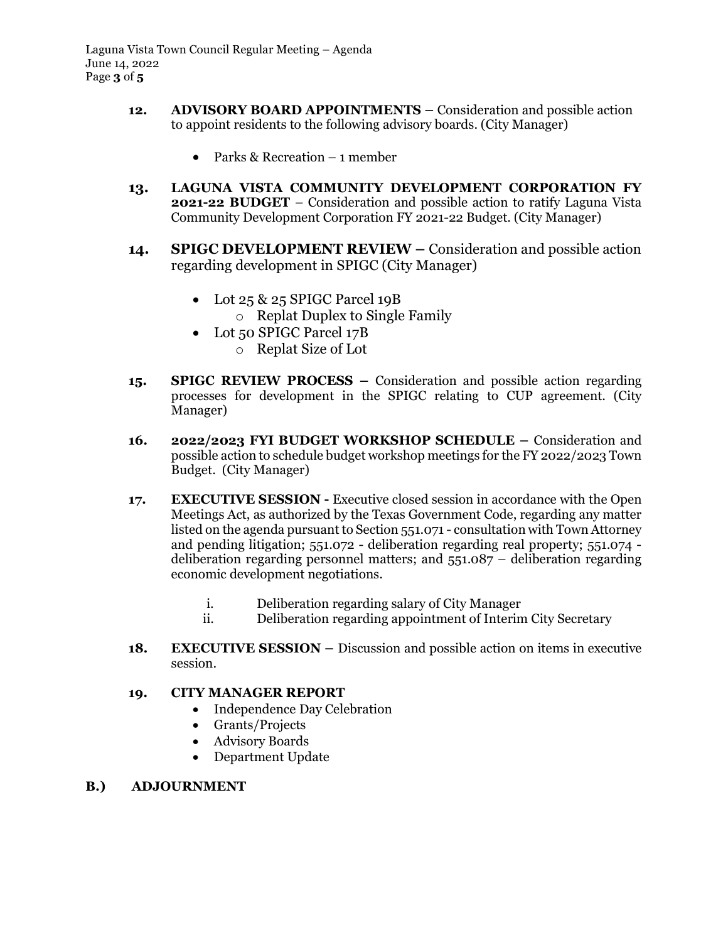- 12. ADVISORY BOARD APPOINTMENTS Consideration and possible action to appoint residents to the following advisory boards. (City Manager)
	- Parks & Recreation 1 member
- 13. LAGUNA VISTA COMMUNITY DEVELOPMENT CORPORATION FY 2021-22 BUDGET – Consideration and possible action to ratify Laguna Vista Community Development Corporation FY 2021-22 Budget. (City Manager)
- 14. SPIGC DEVELOPMENT REVIEW Consideration and possible action regarding development in SPIGC (City Manager)
	- Lot 25 & 25 SPIGC Parcel 19B
		- o Replat Duplex to Single Family
	- Lot 50 SPIGC Parcel 17B
		- o Replat Size of Lot
- 15. SPIGC REVIEW PROCESS Consideration and possible action regarding processes for development in the SPIGC relating to CUP agreement. (City Manager)
- 16. 2022/2023 FYI BUDGET WORKSHOP SCHEDULE Consideration and possible action to schedule budget workshop meetings for the FY 2022/2023 Town Budget. (City Manager)
- 17. EXECUTIVE SESSION Executive closed session in accordance with the Open Meetings Act, as authorized by the Texas Government Code, regarding any matter listed on the agenda pursuant to Section 551.071 - consultation with Town Attorney and pending litigation; 551.072 - deliberation regarding real property; 551.074 deliberation regarding personnel matters; and 551.087 – deliberation regarding economic development negotiations.
	- i. Deliberation regarding salary of City Manager
	- ii. Deliberation regarding appointment of Interim City Secretary
- 18. EXECUTIVE SESSION Discussion and possible action on items in executive session.

### 19. CITY MANAGER REPORT

- Independence Day Celebration
- Grants/Projects
- Advisory Boards
- Department Update

#### B.) ADJOURNMENT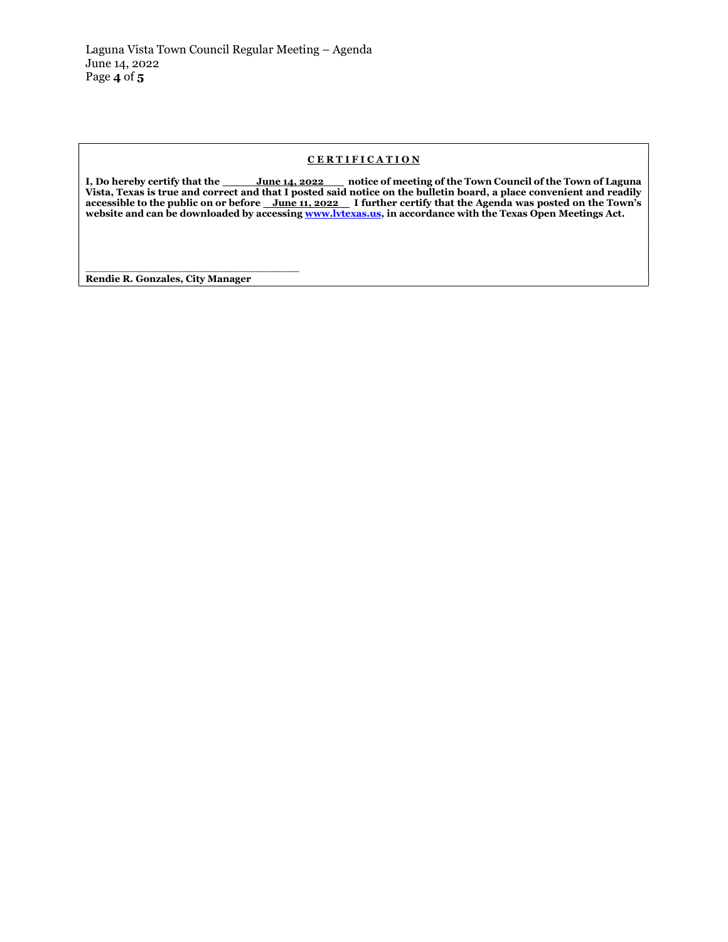#### CERTIFICATION

I, Do hereby certify that the <u>June 14, 2022 hotice</u> of meeting of the Town Council of the Town of Laguna Vista, Texas is true and correct and that I posted said notice on the bulletin board, a place convenient and readily accessible to the public on or before <u>June 11, 2022</u> I further certify that the Agenda was posted on the Town's website and can be downloaded by accessing www.lvtexas.us, in accordance with the Texas Open Meetings Act.

\_\_\_\_\_\_\_\_\_\_\_\_\_\_\_\_\_\_\_\_\_\_\_\_\_\_\_\_\_\_\_\_\_\_\_ Rendie R. Gonzales, City Manager